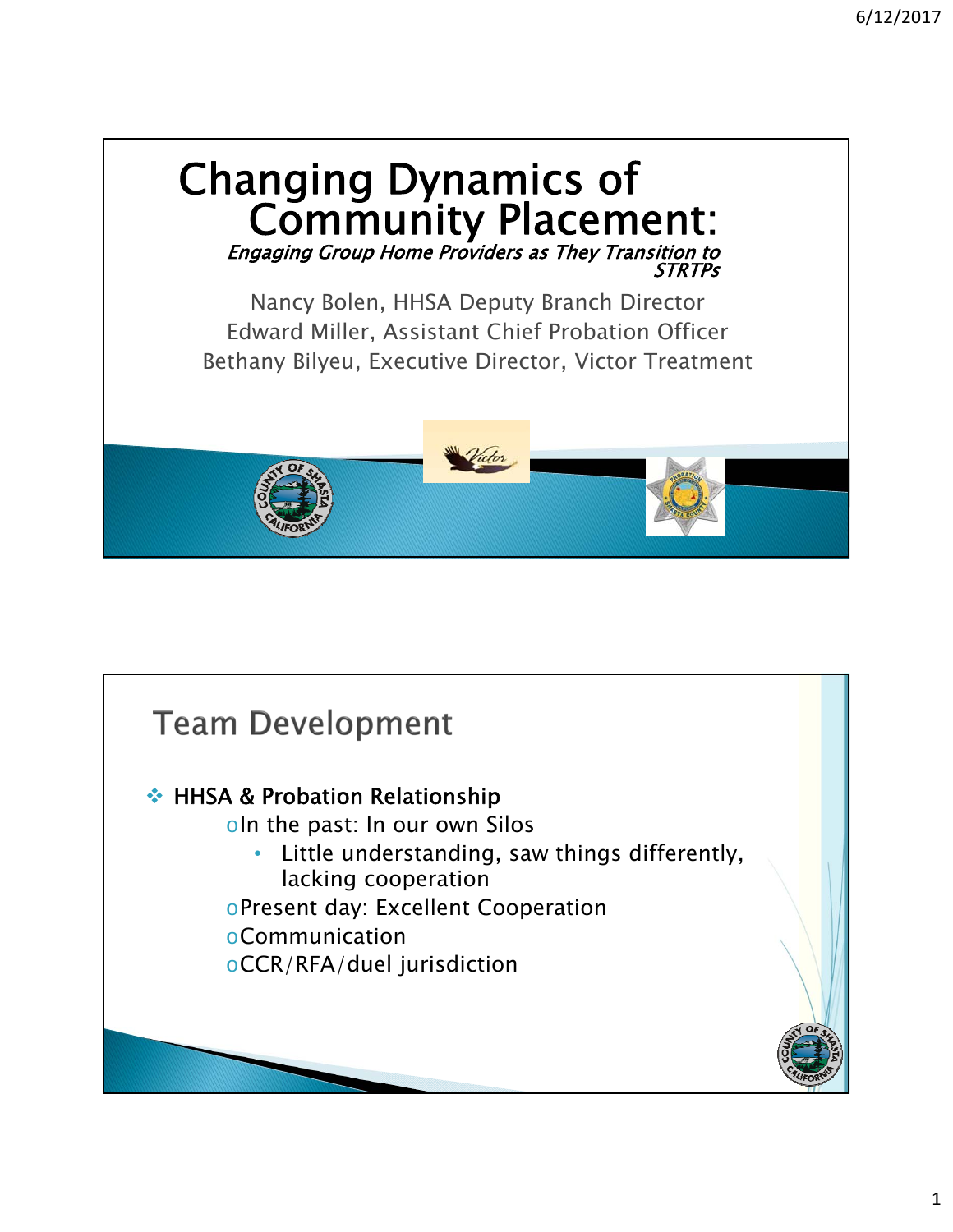

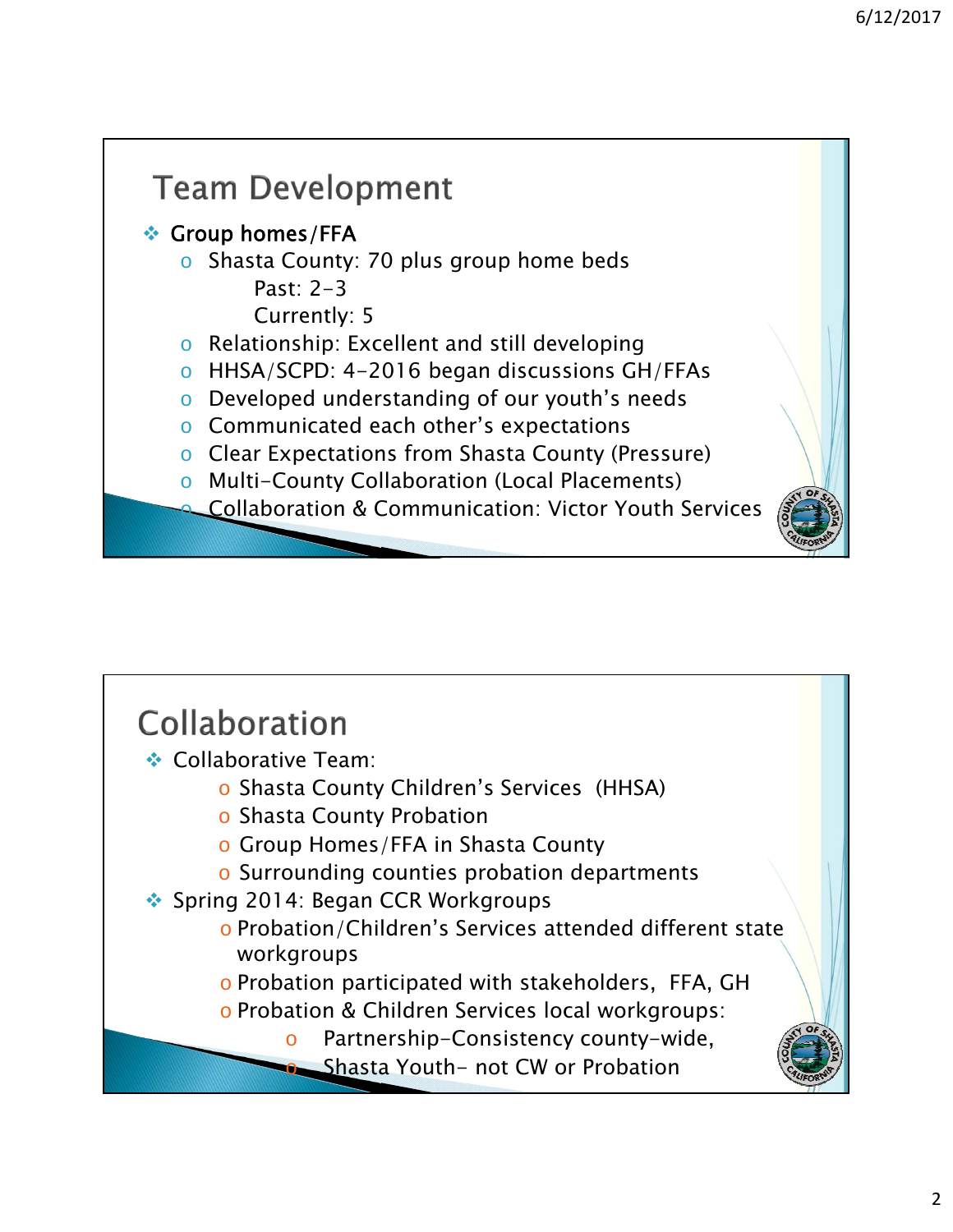

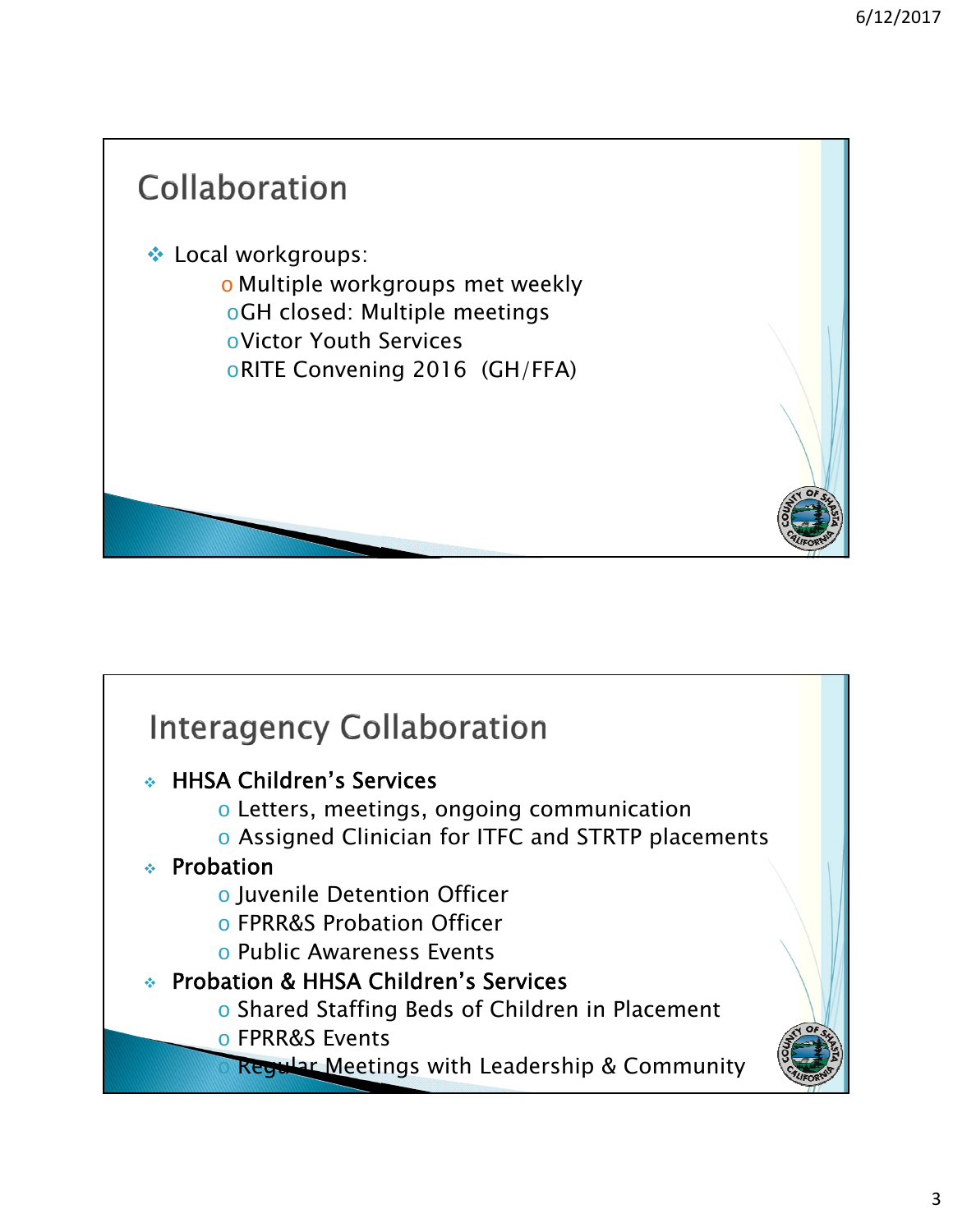

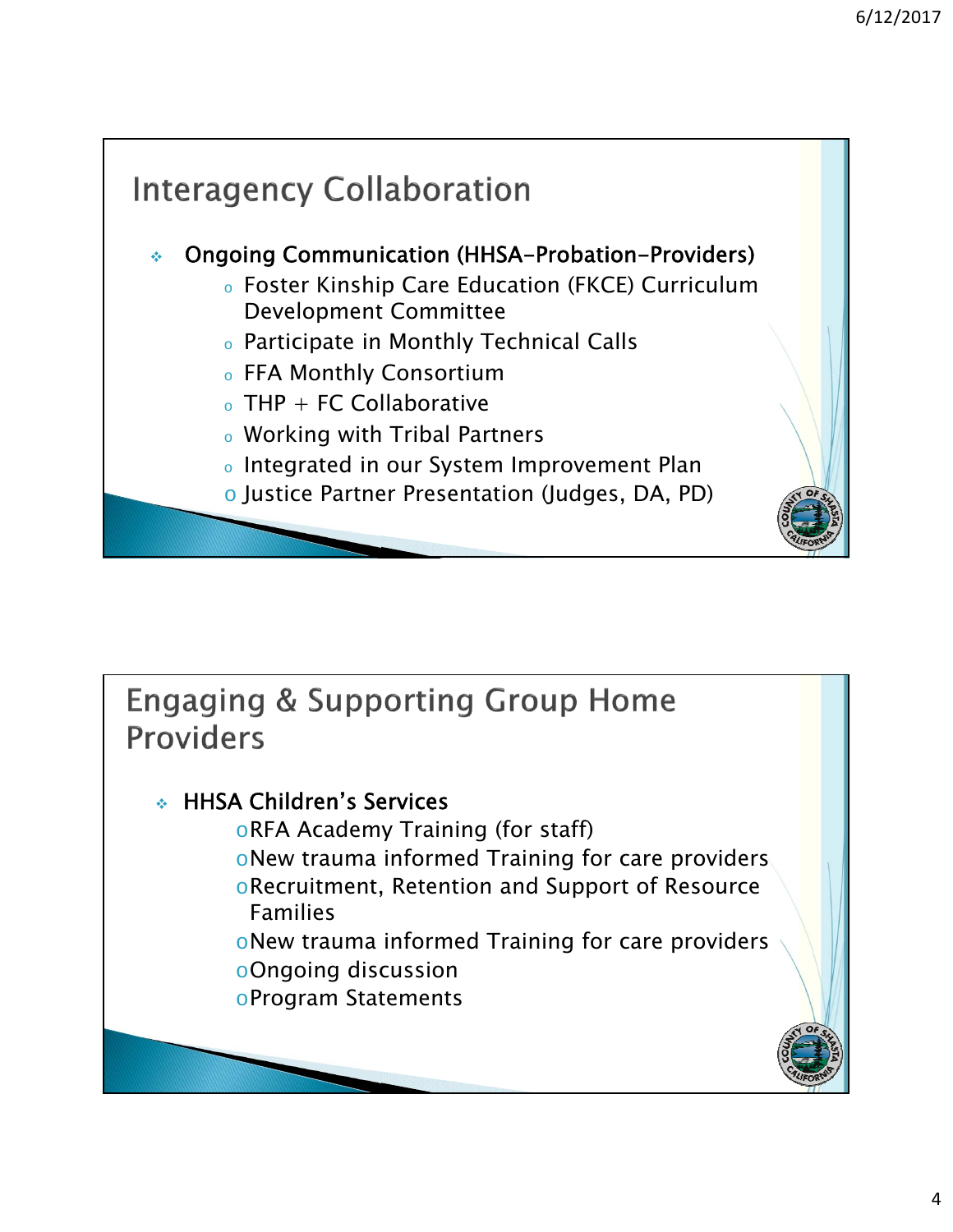

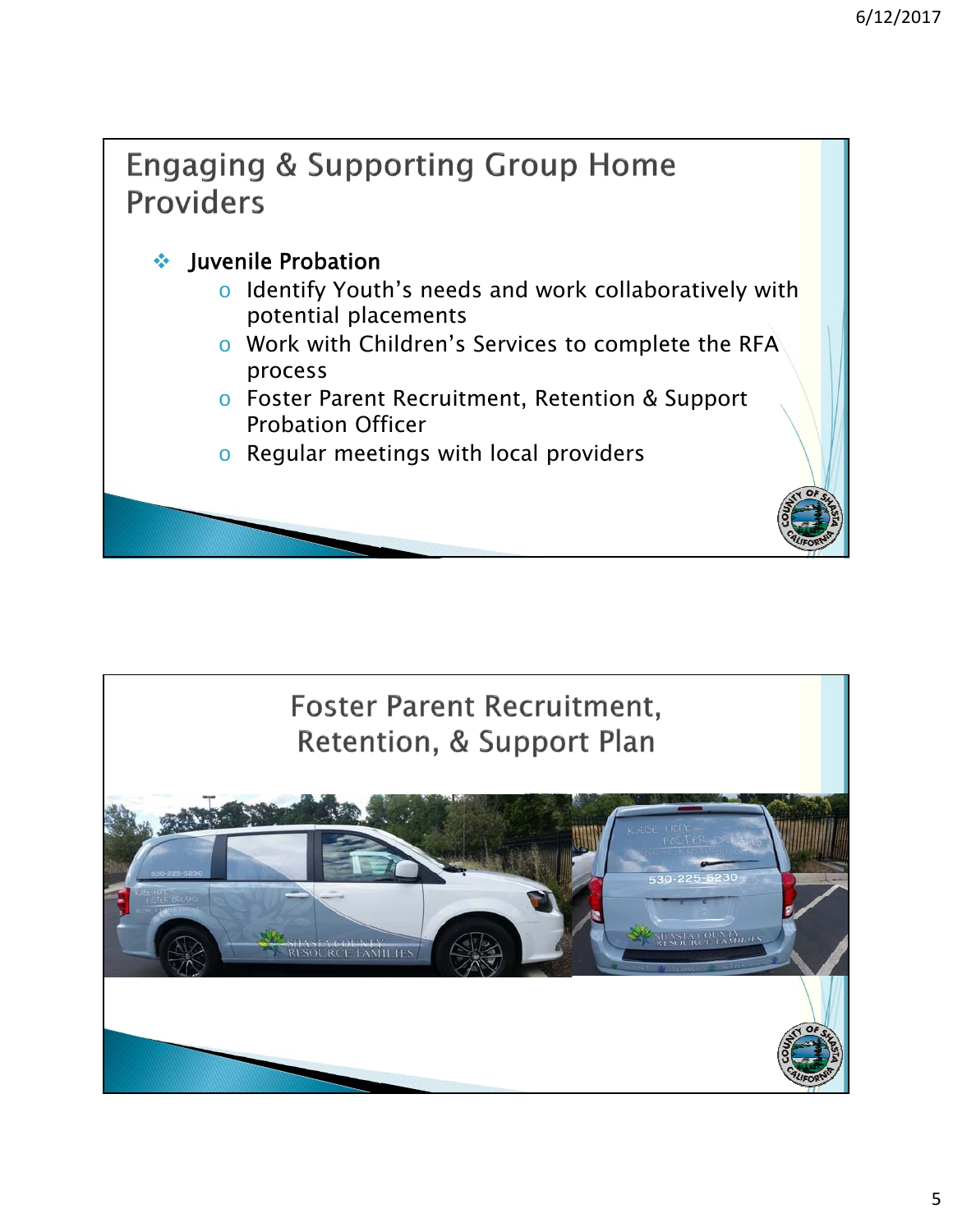## **Engaging & Supporting Group Home Providers** ❖ Juvenile Probation o Identify Youth's needs and work collaboratively with potential placements o Work with Children's Services to complete the RFA process o Foster Parent Recruitment, Retention & Support Probation Officer o Regular meetings with local providers

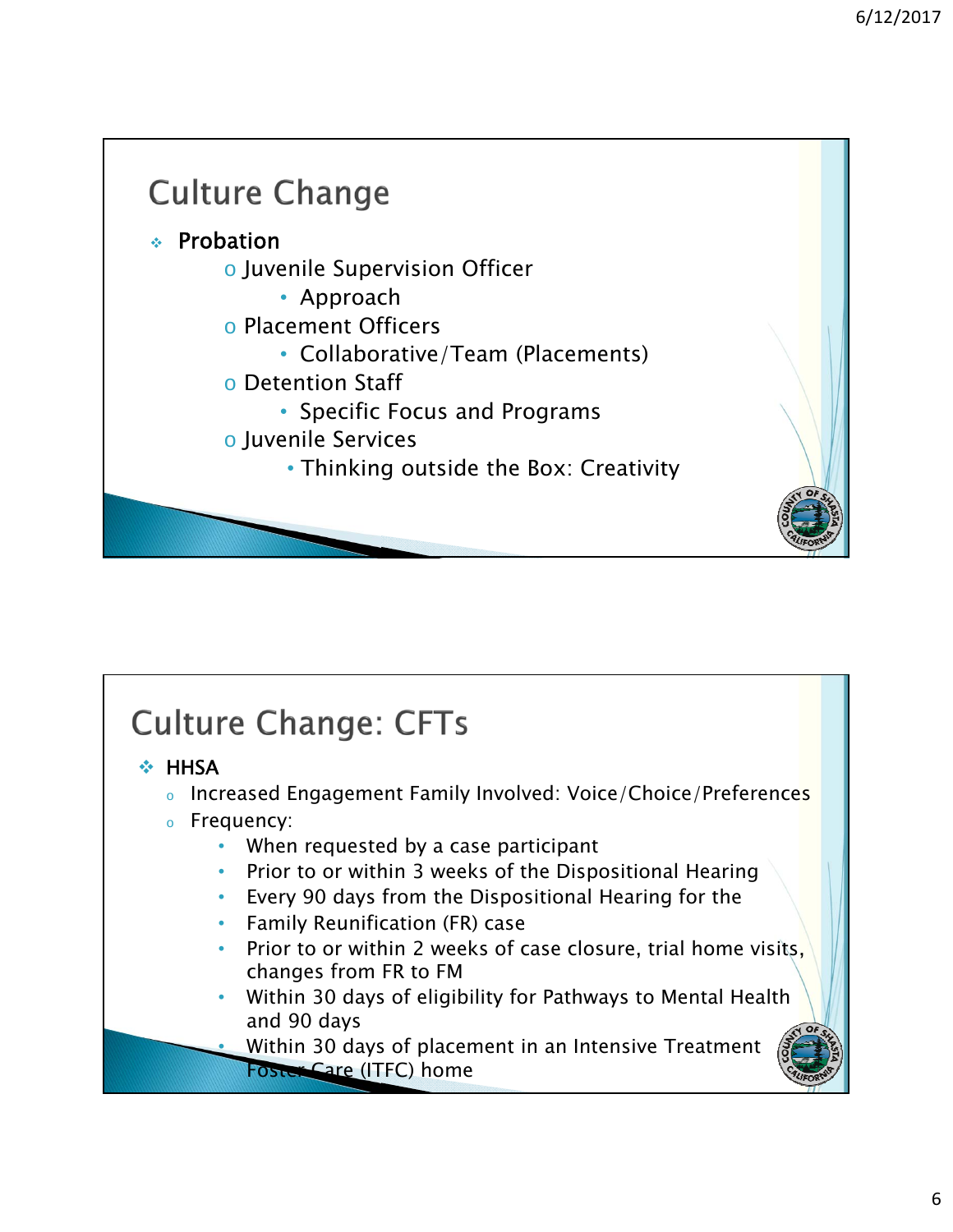

#### **Culture Change: CFTs**  $\div$  HHSA o Increased Engagement Family Involved: Voice/Choice/Preferences <sup>o</sup> Frequency: • When requested by a case participant • Prior to or within 3 weeks of the Dispositional Hearing • Every 90 days from the Dispositional Hearing for the • Family Reunification (FR) case Prior to or within 2 weeks of case closure, trial home visits, changes from FR to FM • Within 30 days of eligibility for Pathways to Mental Health and 90 days • Within 30 days of placement in an Intensive Treatment Foster Care (ITFC) home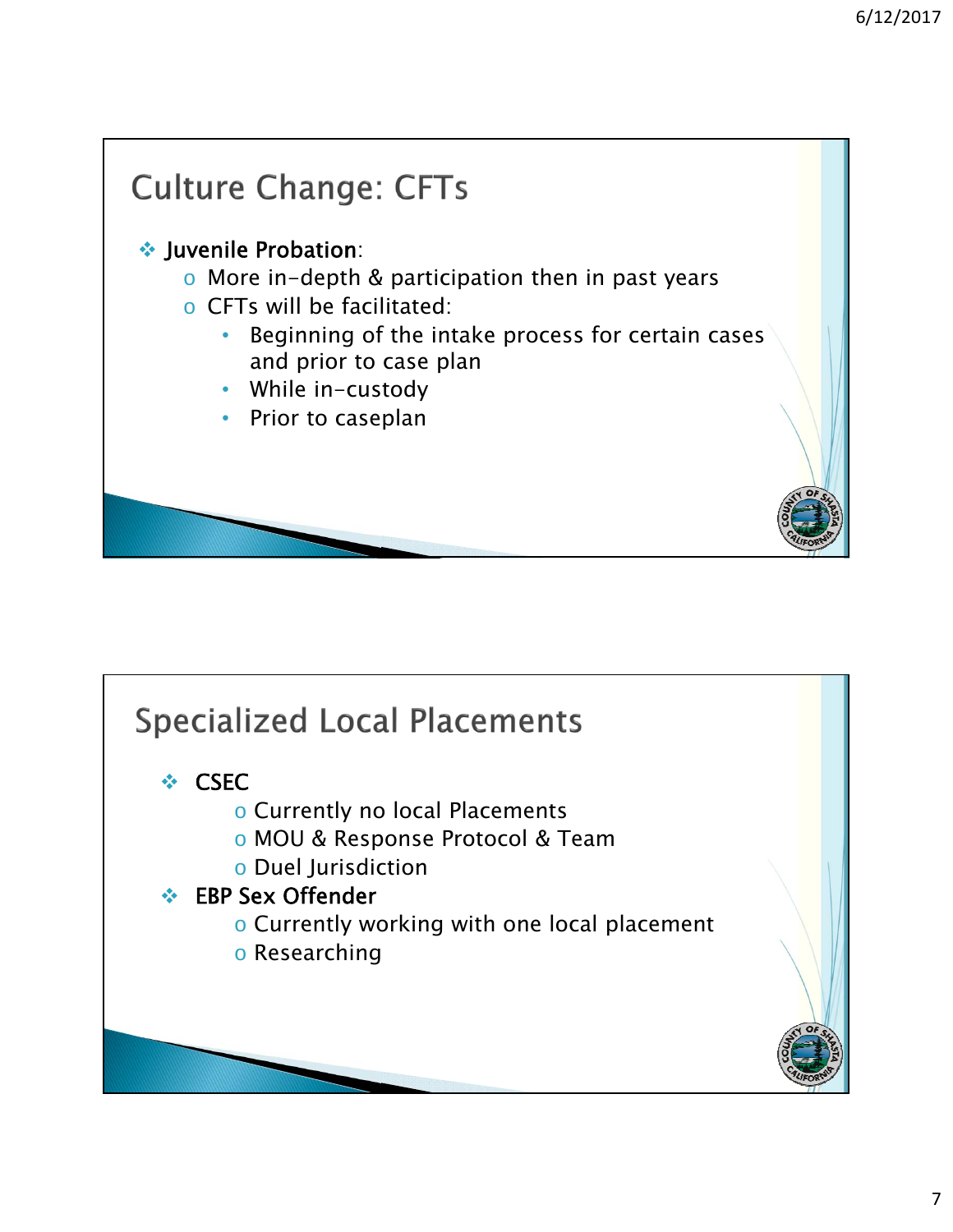

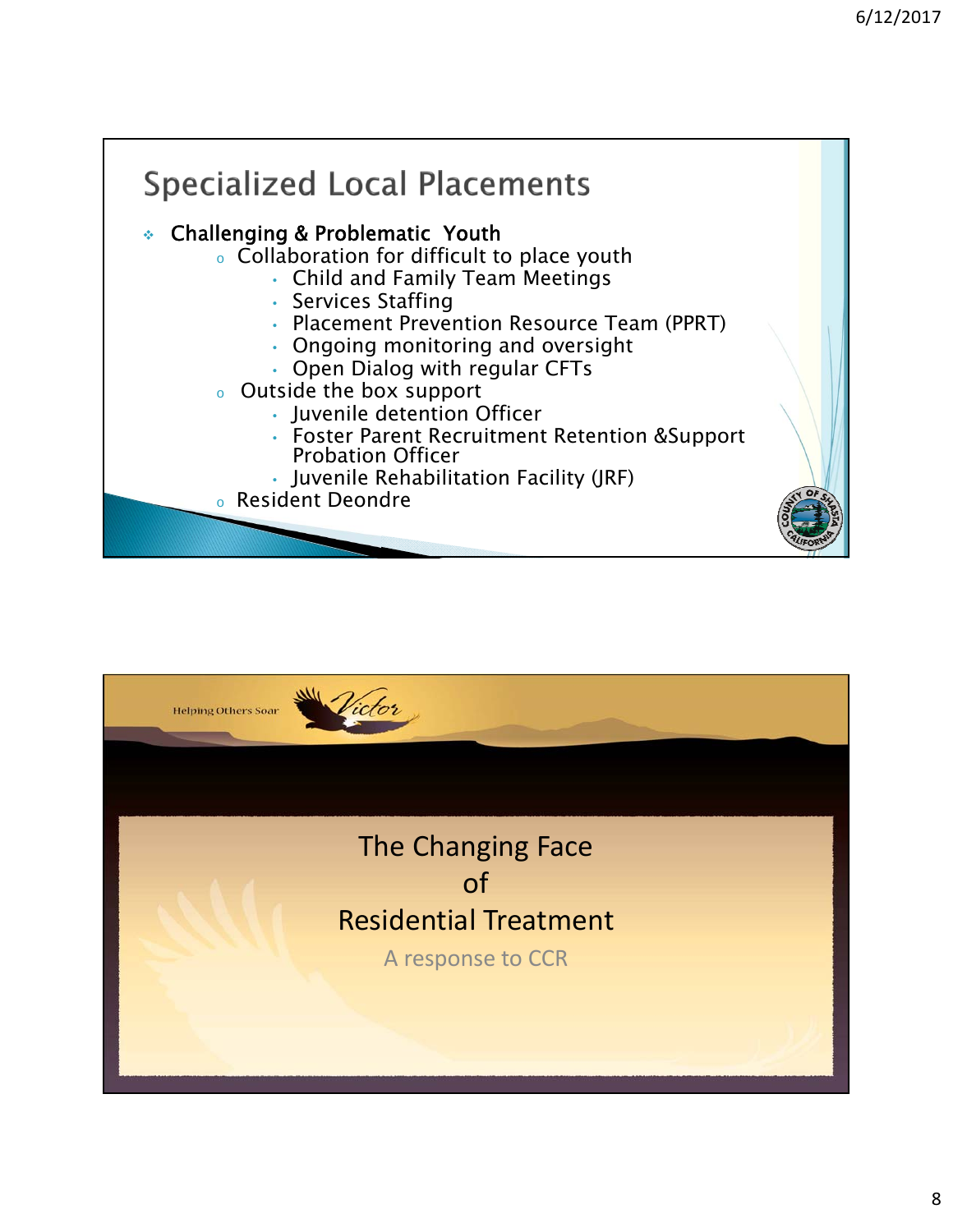

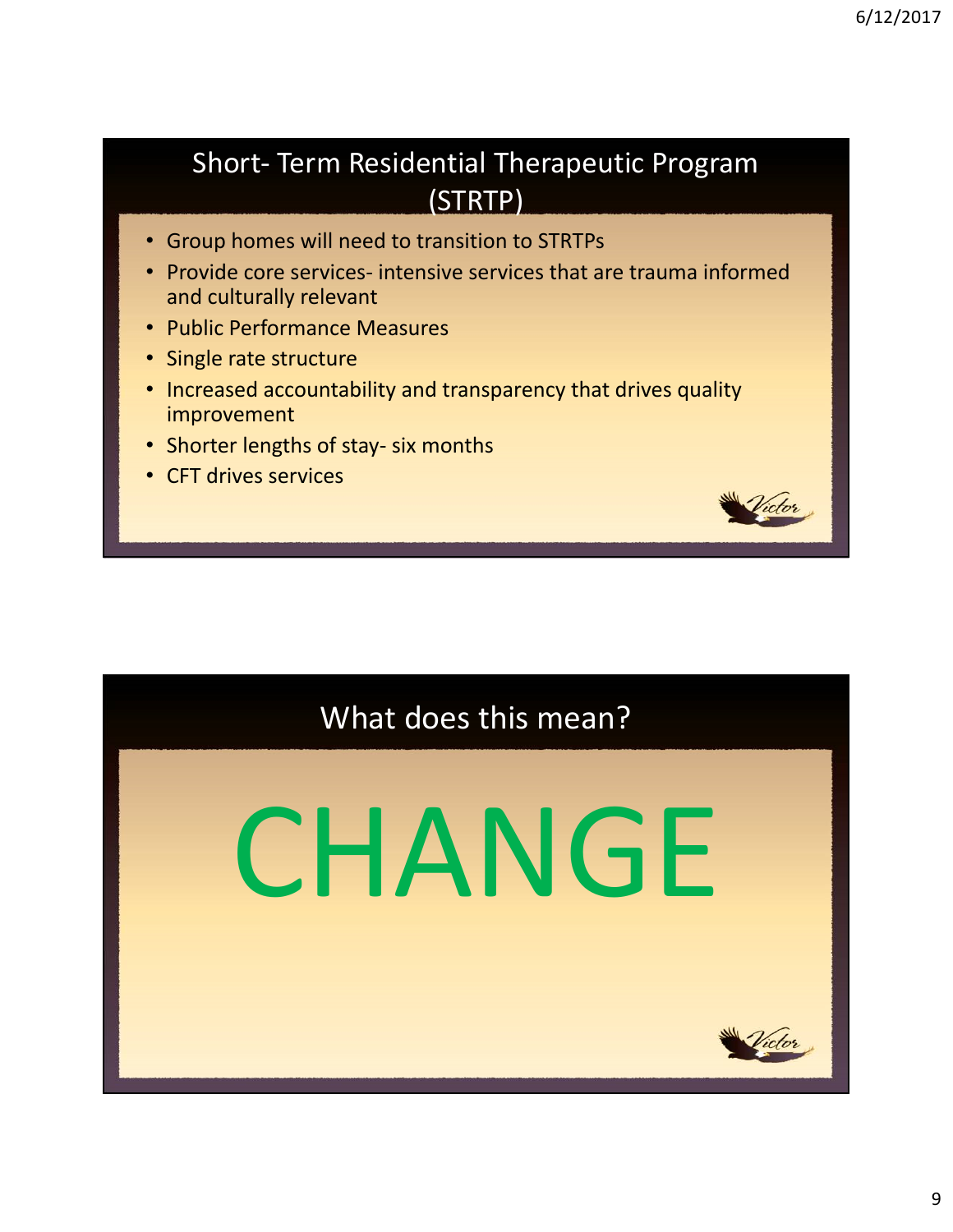#### Short‐ Term Residential Therapeutic Program (STRTP)

- Group homes will need to transition to STRTPs
- Provide core services- intensive services that are trauma informed and culturally relevant
- Public Performance Measures
- Single rate structure
- Increased accountability and transparency that drives quality improvement
- Shorter lengths of stay‐ six months
- CFT drives services

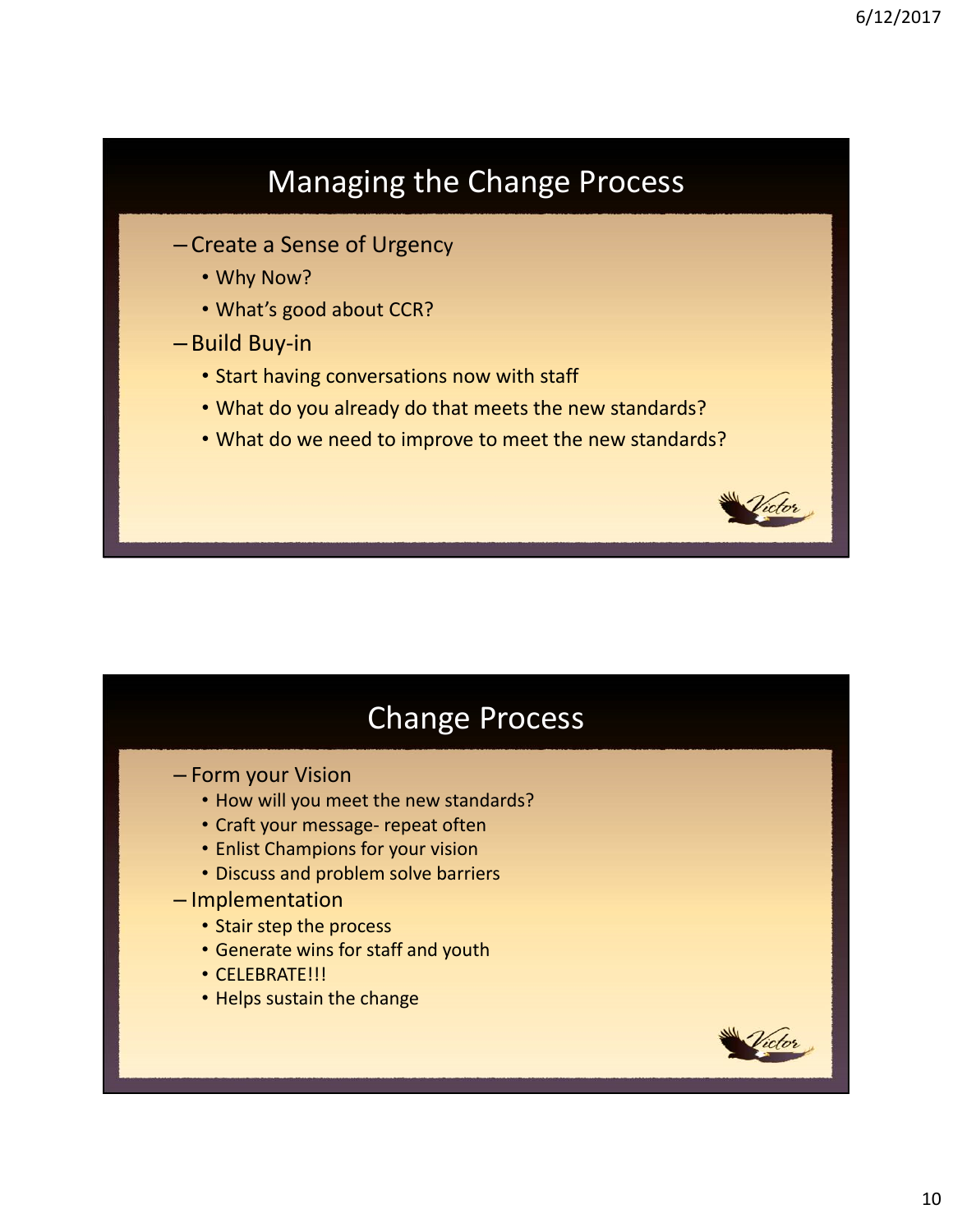## Managing the Change Process

- Create a Sense of Urgency
	- Why Now?
	- What's good about CCR?
- Build Buy‐in
	- Start having conversations now with staff
	- What do you already do that meets the new standards?
	- What do we need to improve to meet the new standards?

#### Change Process

- Form your Vision
	- How will you meet the new standards?
	- Craft your message‐ repeat often
	- Enlist Champions for your vision
	- Discuss and problem solve barriers
- Implementation
	- Stair step the process
	- Generate wins for staff and youth
	- CELEBRATE!!!
	- Helps sustain the change